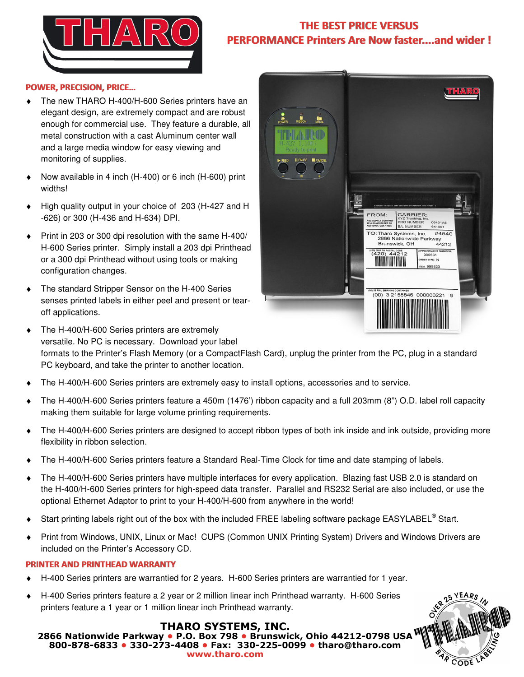

## **THE BEST PRICE VERSUS PERFORMANCE Printers Are Now faster....and wider !**

**FROM** 

ABC SUPPLY COMPAN<br>1234 SOMESTREET DR

O NUMBER

**ML NUMBER** TO: Tharo Systems, Inc.

2866 Nationwide Park

Brunswick, OH

06401A6<br>641001

000531

#4540

vay<br>44212

## **POWER, PRECISION, PRICE…**

- The new THARO H-400/H-600 Series printers have an elegant design, are extremely compact and are robust enough for commercial use. They feature a durable, all metal construction with a cast Aluminum center wall and a large media window for easy viewing and monitoring of supplies.
- Now available in 4 inch (H-400) or 6 inch (H-600) print widths!
- High quality output in your choice of 203 (H-427 and H -626) or 300 (H-436 and H-634) DPI.
- Print in 203 or 300 dpi resolution with the same H-400/ H-600 Series printer. Simply install a 203 dpi Printhead or a 300 dpi Printhead without using tools or making configuration changes.
- The standard Stripper Sensor on the H-400 Series senses printed labels in either peel and present or tearoff applications.
- $(00)$  3 2155846 000000221  $\circ$ The H-400/H-600 Series printers are extremely versatile. No PC is necessary. Download your label formats to the Printer's Flash Memory (or a CompactFlash Card), unplug the printer from the PC, plug in a standard
	- PC keyboard, and take the printer to another location.
- The H-400/H-600 Series printers are extremely easy to install options, accessories and to service.
- The H-400/H-600 Series printers feature a 450m (1476') ribbon capacity and a full 203mm (8") O.D. label roll capacity making them suitable for large volume printing requirements.
- The H-400/H-600 Series printers are designed to accept ribbon types of both ink inside and ink outside, providing more flexibility in ribbon selection.
- The H-400/H-600 Series printers feature a Standard Real-Time Clock for time and date stamping of labels.
- The H-400/H-600 Series printers have multiple interfaces for every application. Blazing fast USB 2.0 is standard on the H-400/H-600 Series printers for high-speed data transfer. Parallel and RS232 Serial are also included, or use the optional Ethernet Adaptor to print to your H-400/H-600 from anywhere in the world!
- ◆ Start printing labels right out of the box with the included FREE labeling software package EASYLABEL<sup>®</sup> Start.
- Print from Windows, UNIX, Linux or Mac! CUPS (Common UNIX Printing System) Drivers and Windows Drivers are included on the Printer's Accessory CD.

## **PRINTER AND PRINTHEAD WARRANTY**

- H-400 Series printers are warrantied for 2 years. H-600 Series printers are warrantied for 1 year.
- H-400 Series printers feature a 2 year or 2 million linear inch Printhead warranty. H-600 Series printers feature a 1 year or 1 million linear inch Printhead warranty.

## **THARO SYSTEMS, INC.**

**2866 Nationwide Parkway • P.O. Box 798 • Brunswick, Ohio 44212-0798 USA 800-878-6833 • 330-273-4408 • Fax: 330-225-0099 • tharo@tharo.com www.tharo.com** 



**THARO**